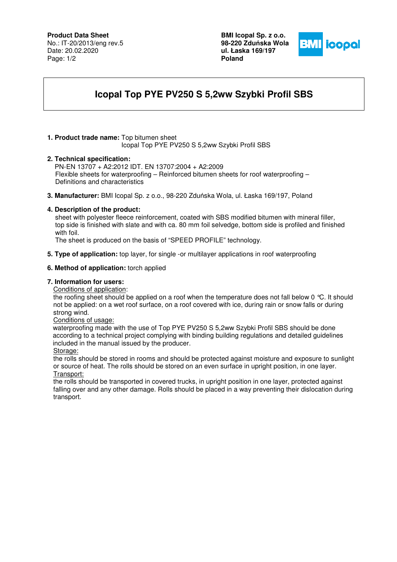# **Product Data Sheet**

No.: IT-20/2013/eng rev.5 Date: 20.02.2020 Page: 1/2

**BMI Icopal Sp. z o.o. 98-220 Zdu**ń**ska Wola ul. Łaska 169/197 Poland** 



# **Icopal Top PYE PV250 S 5,2ww Szybki Profil SBS**

# **1. Product trade name:** Top bitumen sheet

Icopal Top PYE PV250 S 5,2ww Szybki Profil SBS

#### **2. Technical specification:**

PN-EN 13707 + A2:2012 IDT. EN 13707:2004 + A2:2009 Flexible sheets for waterproofing – Reinforced bitumen sheets for roof waterproofing – Definitions and characteristics

**3. Manufacturer:** BMI Icopal Sp. z o.o., 98-220 Zduńska Wola, ul. Łaska 169/197, Poland

### **4. Description of the product:**

 sheet with polyester fleece reinforcement, coated with SBS modified bitumen with mineral filler, top side is finished with slate and with ca. 80 mm foil selvedge, bottom side is profiled and finished with foil.

The sheet is produced on the basis of "SPEED PROFILE" technology.

**5. Type of application:** top layer, for single -or multilayer applications in roof waterproofing

#### **6. Method of application:** torch applied

# **7. Information for users:**

Conditions of application:

the roofing sheet should be applied on a roof when the temperature does not fall below 0 °C. It should not be applied: on a wet roof surface, on a roof covered with ice, during rain or snow falls or during strong wind.

#### Conditions of usage:

 waterproofing made with the use of Top PYE PV250 S 5,2ww Szybki Profil SBS should be done according to a technical project complying with binding building regulations and detailed guidelines included in the manual issued by the producer.

#### Storage:

the rolls should be stored in rooms and should be protected against moisture and exposure to sunlight or source of heat. The rolls should be stored on an even surface in upright position, in one layer. Transport:

the rolls should be transported in covered trucks, in upright position in one layer, protected against falling over and any other damage. Rolls should be placed in a way preventing their dislocation during transport.